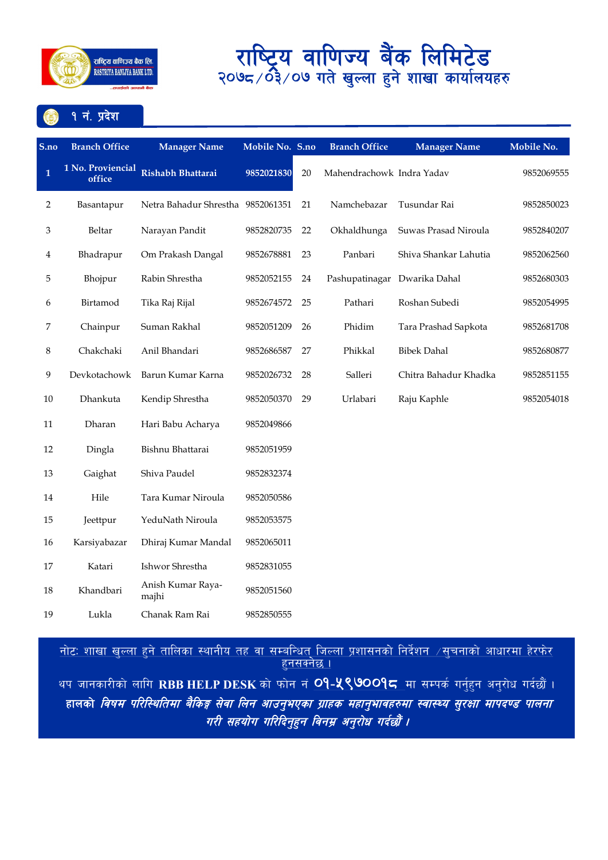

### १ नं. प्रदेश

| S.no           | <b>Branch Office</b>        | <b>Manager Name</b>               | Mobile No. S.no |    | <b>Branch Office</b>         | <b>Manager Name</b>   | Mobile No. |
|----------------|-----------------------------|-----------------------------------|-----------------|----|------------------------------|-----------------------|------------|
| $\mathbf{1}$   | 1 No. Proviencial<br>office | Rishabh Bhattarai                 | 9852021830      | 20 | Mahendrachowk Indra Yadav    |                       | 9852069555 |
| $\overline{2}$ | Basantapur                  | Netra Bahadur Shrestha 9852061351 |                 | 21 | Namchebazar                  | Tusundar Rai          | 9852850023 |
| 3              | Beltar                      | Narayan Pandit                    | 9852820735      | 22 | Okhaldhunga                  | Suwas Prasad Niroula  | 9852840207 |
| 4              | Bhadrapur                   | Om Prakash Dangal                 | 9852678881      | 23 | Panbari                      | Shiva Shankar Lahutia | 9852062560 |
| 5              | Bhojpur                     | Rabin Shrestha                    | 9852052155      | 24 | Pashupatinagar Dwarika Dahal |                       | 9852680303 |
| 6              | Birtamod                    | Tika Raj Rijal                    | 9852674572      | 25 | Pathari                      | Roshan Subedi         | 9852054995 |
| 7              | Chainpur                    | Suman Rakhal                      | 9852051209      | 26 | Phidim                       | Tara Prashad Sapkota  | 9852681708 |
| 8              | Chakchaki                   | Anil Bhandari                     | 9852686587      | 27 | Phikkal                      | <b>Bibek Dahal</b>    | 9852680877 |
| 9              | Devkotachowk                | Barun Kumar Karna                 | 9852026732      | 28 | Salleri                      | Chitra Bahadur Khadka | 9852851155 |
| 10             | Dhankuta                    | Kendip Shrestha                   | 9852050370      | 29 | Urlabari                     | Raju Kaphle           | 9852054018 |
| 11             | Dharan                      | Hari Babu Acharya                 | 9852049866      |    |                              |                       |            |
| 12             | Dingla                      | Bishnu Bhattarai                  | 9852051959      |    |                              |                       |            |
| 13             | Gaighat                     | Shiva Paudel                      | 9852832374      |    |                              |                       |            |
| 14             | Hile                        | Tara Kumar Niroula                | 9852050586      |    |                              |                       |            |
| 15             | Jeettpur                    | YeduNath Niroula                  | 9852053575      |    |                              |                       |            |
| 16             | Karsiyabazar                | Dhiraj Kumar Mandal               | 9852065011      |    |                              |                       |            |
| 17             | Katari                      | Ishwor Shrestha                   | 9852831055      |    |                              |                       |            |
| $18\,$         | Khandbari                   | Anish Kumar Raya-<br>majhi        | 9852051560      |    |                              |                       |            |
| 19             | Lukla                       | Chanak Ram Rai                    | 9852850555      |    |                              |                       |            |

<u>नोटः शाखा खुल्ला हुने तालिका स्थानीय तह वा सम्बन्धित जिल्ला प्रशासनको निर्देशन  $\neq$ सूचनाको आधारमा हेरफेर </u> <u>हनसक्नेछ ।</u>

थप जानकारीको लागि RBB HELP DESK को फोन नं <mark>O9-<mark>५९७</mark>00<mark>9८</mark> मा सम्पर्क गर्नुहुन अनुरोध गर्दछौं ।</mark> हालको *विषम परिस्थितिमा बैकिङ्ग सेवा लिन आउनुभएका ग्राहक महानुभावहरुमा स्वास्थ्य सुरक्षा मापदण्ड पालना* गरी सहयोग गरिदिनुहुन विनम्र अनुरोध गर्दछौं ।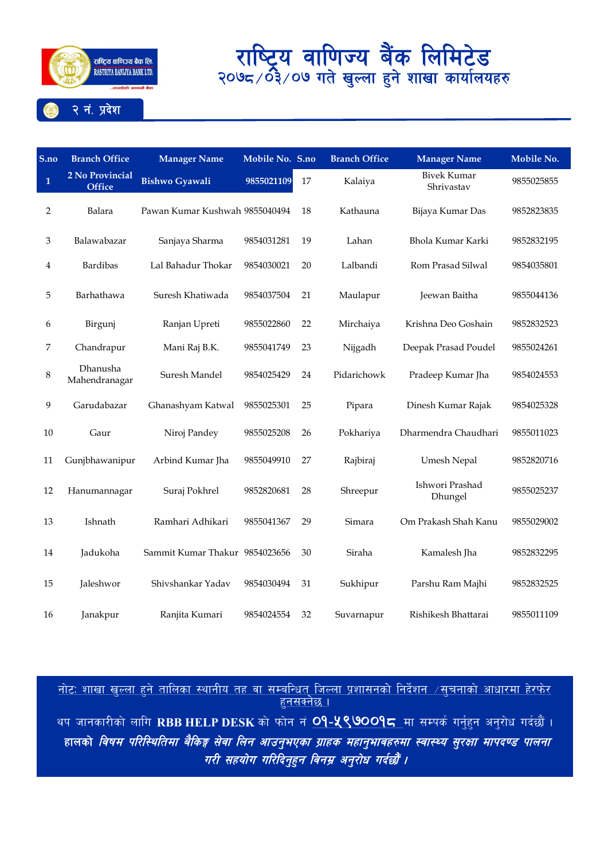

**S.no Branch Office Manager Name Mobile No. S.no Branch Office Manager Name Mobile No. 1 2 No Provincial Provincial Bishwo Gyawali 9855021109** 17 Kalaiya Bivek Kumar **Office** Bishwo Gyawali **9855021109** 17 Kalaiya Bhrivastav Shrivastav <sup>9855025855</sup> Balara Pawan Kumar Kushwah 9855040494 18 Kathauna Bijaya Kumar Das 9852823835 Balawabazar Sanjaya Sharma 9854031281 19 Lahan Bhola Kumar Karki 9852832195 Bardibas Lal Bahadur Thokar 9854030021 20 Lalbandi Rom Prasad Silwal 9854035801 Barhathawa Suresh Khatiwada 9854037504 21 Maulapur Jeewan Baitha 9855044136 Birgunj Ranjan Upreti 9855022860 22 Mirchaiya Krishna Deo Goshain 9852832523 Chandrapur Mani Raj B.K. 9855041749 23 Nijgadh Deepak Prasad Poudel 9855024261 8 Dhanusha Mahendranagar Suresh Mandel <sup>9854025429</sup> <sup>24</sup> Pidarichowk Pradeep Kumar Jha <sup>9854024553</sup> Garudabazar Ghanashyam Katwal 9855025301 25 Pipara Dinesh Kumar Rajak 9854025328 Gaur Niroj Pandey 9855025208 26 Pokhariya Dharmendra Chaudhari 9855011023 Gunjbhawanipur Arbind Kumar Jha 9855049910 27 Rajbiraj Umesh Nepal 9852820716 Hanumannagar Suraj Pokhrel <sup>9852820681</sup> <sup>28</sup> Shreepur Ishwori Prashad Ishwori Prashad<br>Dhungel 9855025237 Ishnath Ramhari Adhikari 9855041367 29 Simara Om Prakash Shah Kanu 9855029002 Jadukoha Sammit Kumar Thakur 9854023656 30 Siraha Kamalesh Jha 9852832295 Jaleshwor Shivshankar Yadav 9854030494 31 Sukhipur Parshu Ram Majhi 9852832525 Janakpur Ranjita Kumari 9854024554 32 Suvarnapur Rishikesh Bhattarai 9855011109

नोटः शाखा खल्ला हने तालिका स्थानीय तह वा सम्बन्धित जिल्ला प्रशासनको निर्देशन  $\vee$ सचनाको आधारमा हेरफेर हनसक्नेछ ।

थप जानकारीको लागि RBB HELP DESK को फोन नं **09-५९७009८** मा सम्पर्क गर्नहन अनरोध गर्दछौं । हालको *विषम परिस्थितिमा बैकिङ्ग सेवा लिन आउनुभएका ग्राहक महानुभावहरुमा स्वास्थ्य सुरक्षा मापदण्ड पालना* गरी सहयोग गरिदिन्**हन विनम्र अन्**रोध गर्दछौं ।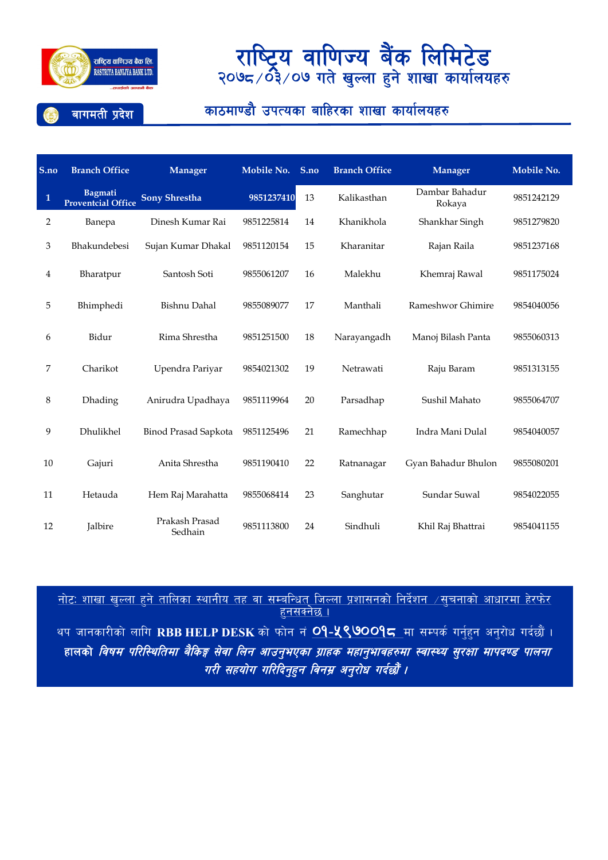

### बागमती प्रदेश

### काठमाण्डौ उपत्यका बाहिरका शाखा कार्यालयहरु

| S.no         | <b>Branch Office</b>                        | <b>Manager</b>            | Mobile No. | S.no | <b>Branch Office</b> | <b>Manager</b>           | Mobile No. |
|--------------|---------------------------------------------|---------------------------|------------|------|----------------------|--------------------------|------------|
| $\mathbf{1}$ | <b>Bagmati</b><br><b>Proventcial Office</b> | <b>Sony Shrestha</b>      | 9851237410 | 13   | Kalikasthan          | Dambar Bahadur<br>Rokaya | 9851242129 |
| 2            | Banepa                                      | Dinesh Kumar Rai          | 9851225814 | 14   | Khanikhola           | Shankhar Singh           | 9851279820 |
| 3            | Bhakundebesi                                | Sujan Kumar Dhakal        | 9851120154 | 15   | Kharanitar           | Rajan Raila              | 9851237168 |
| 4            | Bharatpur                                   | Santosh Soti              | 9855061207 | 16   | Malekhu              | Khemraj Rawal            | 9851175024 |
| 5            | Bhimphedi                                   | Bishnu Dahal              | 9855089077 | 17   | Manthali             | Rameshwor Ghimire        | 9854040056 |
| 6            | Bidur                                       | Rima Shrestha             | 9851251500 | 18   | Narayangadh          | Manoj Bilash Panta       | 9855060313 |
| 7            | Charikot                                    | Upendra Pariyar           | 9854021302 | 19   | Netrawati            | Raju Baram               | 9851313155 |
| 8            | Dhading                                     | Anirudra Upadhaya         | 9851119964 | 20   | Parsadhap            | Sushil Mahato            | 9855064707 |
| 9            | Dhulikhel                                   | Binod Prasad Sapkota      | 9851125496 | 21   | Ramechhap            | Indra Mani Dulal         | 9854040057 |
| 10           | Gajuri                                      | Anita Shrestha            | 9851190410 | 22   | Ratnanagar           | Gyan Bahadur Bhulon      | 9855080201 |
| 11           | Hetauda                                     | Hem Raj Marahatta         | 9855068414 | 23   | Sanghutar            | Sundar Suwal             | 9854022055 |
| 12           | Jalbire                                     | Prakash Prasad<br>Sedhain | 9851113800 | 24   | Sindhuli             | Khil Raj Bhattrai        | 9854041155 |

<u>नोटः शाखा खल्ला हने तालिका स्थानीय तह वा सम्बन्धित जिल्ला प्रशासनको निर्देशन  $\neq$ सूचनाको आधारमा हेरफेर</u>  $5$ नसक्नेछ । थप जानकारीको लागि RBB HELP DESK को फोन नं <mark>O9-५९७००१८</mark> मा सम्पर्क गर्नुहन अनुरोध गर्दछौं । हालको *विषम परिस्थितिमा बैकिङ्ग सेवा लिन आउनुभएका ग्राहक महानुभावहरुमा स्वास्थ्य सुरक्षा मापदण्ड पालना* गरी सहयोग गरिदिनुहुन विनम्र अनुरोध गर्दछौं ।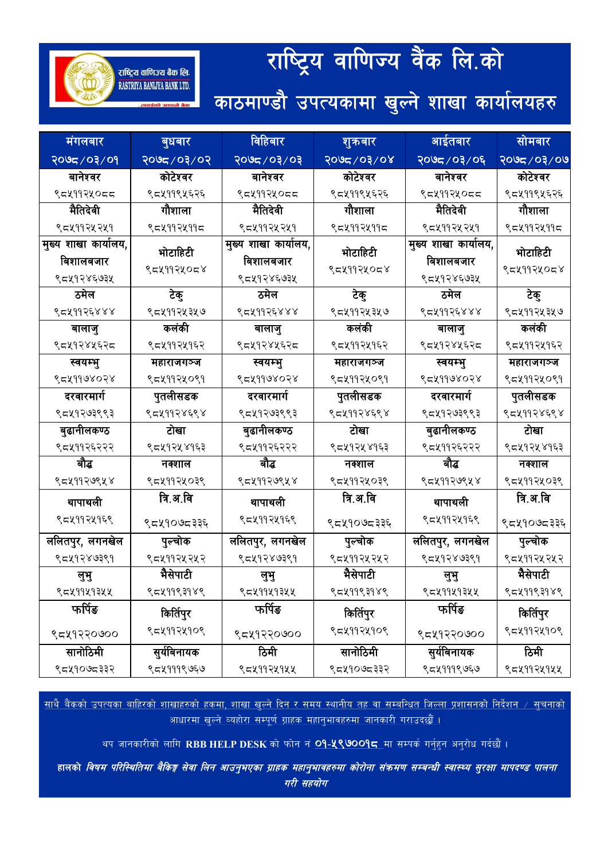# राष्ट्रिय वाणिज्य वैंक लि.को

काठमाण्डौ उपत्यकामा खुल्ने शाखा कार्यालयहरु

राष्ट्रिय वाणिज्य बैंक लि. RASTRIYA BANIJYA BANK LTD.

| मंगलबार              | बुधबार      | विहिबार              | शुक्रबार      | आईतबार               | <u>सोमबार</u> |
|----------------------|-------------|----------------------|---------------|----------------------|---------------|
| २०७८/०३/०१           | २०७८/०३/०२  | <i>६</i> ०९६०२,च्छ०२ | $80/50/200$ र | २०७८/०३/०६           | २०७८/०३/०७    |
| बानेश्वर             | कोटेश्वर    | बानेश्वर             | कोटेश्वर      | बानेश्वर             | कोटेश्वर      |
| ९८५११२५०८८           | ९८४११९५६२६  | ९८५११२५०८८           | ९८४११९५६२६    | ९८५११२५०८८           | ९८५११९५६२६    |
| मैतिदेवी             | गौशाला      | मैतिदेवी             | गौशाला        | मैतिदेवी             | गौशाला        |
| ९८४११२५२५१           | ९८४११२४११८  | ९८४११२५२५१           | ९८५११२५११८    | ९८४११२५२५१           | ९८५११२५११८    |
| मुख्य शाखा कार्यालय, | भोटाहिटी    | मुख्य शाखा कार्यालय, | भोटाहिटी      | मुख्य शाखा कार्यालय, | भोटाहिटी      |
| बिशालबजार            | ९८५११२५०८४  | बिशालबजार            | ९८५११२५०८४    | बिशालबजार            | ९८५११२५०८४    |
| ९८५१२४६७३५           |             | ९८५१२४६७३५           |               | ९८५१२४६७३५           |               |
| ठमेल                 | टेकु        | ठमेल                 | टेकु          | ठमेल                 | टेकु          |
| ९८४११२६४४४           | ९८५११२५३५७  | ९८५११२६४४४           | ९८५११२५३५७    | ९८५११२६४४४           | ९८५११२५३५७    |
| बालाजु               | कलंकी       | बालाजु               | कलंकी         | बालाजु               | कलंकी         |
| ९८५१२४५६२८           | ९८४११२४१६२  | ९८५१२४५६२८           | ९८४११२४१६२    | ९८५१२४५६२८           | ९८५११२५१६२    |
| स्वयम्भु             | महाराजगञ्ज  | स्वयम्भु             | महाराजगञ्ज    | स्वयम्भु             | महाराजगञ्ज    |
| ९८४११७४०२४           | ९८४११२५०९१  | ९८४११७४०२४           | ९८४११२५०९१    | ९८४११७४०२४           | ९८५११२५०९१    |
| दरवारमार्ग           | पुतलीसडक    | दरवारमार्ग           | पुतलीसडक      | दरवारमार्ग           | पुतलीसडक      |
| ९८५१२७३९९३           | ९८५११२४६९४  | ९८५१२७३९९३           | ९८५११२४६९४    | ९८५१२७३९९३           | ९८५११२४६९४    |
| बुढानीलकण्ठ          | टोखा        | बुढानीलकण्ठ          | टोखा          | बुढानीलकण्ठ          | टोखा          |
| ९८४११२६२२२           | ९८४१२५४१६३  | ९८४११२६२२२           | ९८४१२५४१६३    | ९८४११२६२२२           | ९८५१२५४१६३    |
| बौद्ध                | नक्शाल      | बौद्ध                | नक्शाल        | बौद्ध                | नक्शाल        |
| ९८५११२७९५४           | ९८४११२५०३९  | ९८५११२७९५४           | ९८५११२५०३९    | ९८५११२७९५४           | ९८५११२५०३९    |
| थापाथली              | त्रि.अ.वि   | थापाथली              | त्रि.अ.वि     | थापाथली              | त्रि.अ.वि     |
| ९८४११२४१६९           | ९८५१०७८३३६  | ९८४११२५१६९           | ९८५१०७८३३६    | ९८४११२५१६९           | ९८५१०७८३३६    |
| ललितपुर, लगनखेल      | पुल्चोक     | ललितपुर, लगनखेल      | पुल्चोक       | ललितपुर, लगनखेल      | पुल्चोक       |
| ९८५१२४७३९१           | ९८४११२४२४२  | ९८५१२४७३९१           | ९८४११२४२४२    | ९८५१२४७३९१           | ९८४११२५२५२    |
| लुभु                 | भैसेपाटी    | लुभु                 | भैसेपाटी      | लुभु                 | भैसेपाटी      |
| ९८४११५१३५५           | ९८४११९३१४९  | ९८४११५१३५५           | ९८५११९३१४९    | ९८४११५१३५५           | ९८५११९३१४९    |
| फर्पिङ               | किर्तिपुर   | फर्पिङ               | किर्तिपुर     | फर्पिङ               | किर्तिपुर     |
| ९८५१२२०७००           | ९८४११२५१०९  | ९८५१२२०७००           | ९८४११२५१०९    | ९८५१२२०७००           | ९८५११२५१०९    |
| सानोठिमी             | सुर्यविनायक | ਠਿਸੀ                 | सानोठिमी      | सुर्यविनायक          | ठिमी          |
| ९८५१०७८३३२           | ९८४१११९७६७  | ९८४११२५१५५           | ९८५१०७८३३२    | ९८४१११९७६७           | ९८४११२५१५५    |

<u>साथै बैंकको उपत्यका बाहिरको शाखाहरुको हकमा, शाखा खल्ने दिन र समय स्थानीय तह वा सम्बन्धित जिल्ला प्रशासनको निर्देशन ⁄ सचनाको</u> <u>आधारमा खल्ने व्यहोरा सम्पूर्ण ग्राहक महानुभावहरुमा जानकारी गराउदछौं ।</u>

थप जानकारीको लागि RBB HELP DESK को फोन नं O9-X९७009<del>८</del> मा सम्पर्क गर्नुहन अनुरोध गर्दछौं ।

हालको *विषम परिस्थितिमा बैकिङ्ग सेवा लिन आउनुभएका ग्राहक महानुभावहरुमा कोरोना संक्रमण सम्बन्धी स्वास्थ्य सुरक्षा मापदण्ड पालना* गरी सहयोग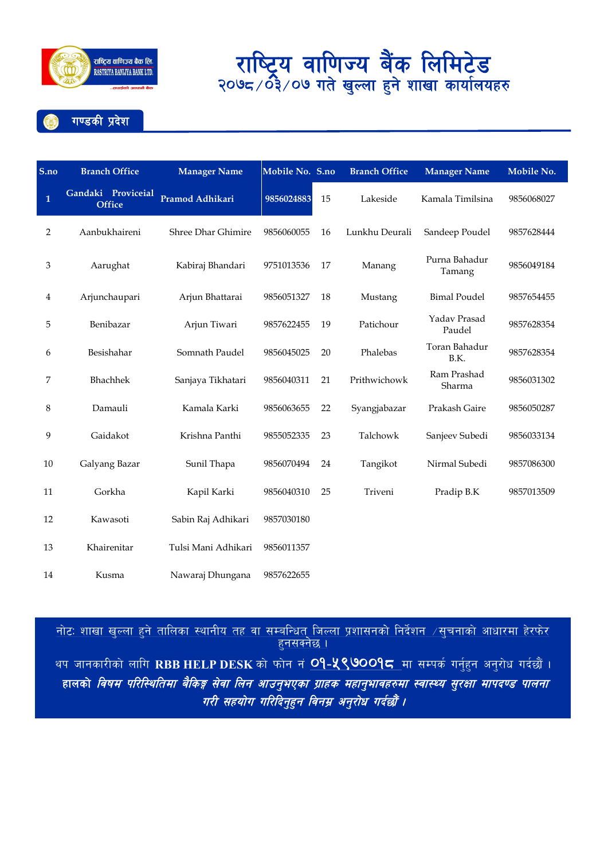

गण्डकी प्रदेश

| S.no         | <b>Branch Office</b>                | <b>Manager Name</b> | Mobile No. S.no |    | <b>Branch Office</b> | <b>Manager Name</b>     | Mobile No. |
|--------------|-------------------------------------|---------------------|-----------------|----|----------------------|-------------------------|------------|
| $\mathbf{1}$ | Gandaki Proviceial<br><b>Office</b> | Pramod Adhikari     | 9856024883      | 15 | Lakeside             | Kamala Timilsina        | 9856068027 |
| 2            | Aanbukhaireni                       | Shree Dhar Ghimire  | 9856060055      | 16 | Lunkhu Deurali       | Sandeep Poudel          | 9857628444 |
| 3            | Aarughat                            | Kabiraj Bhandari    | 9751013536      | 17 | Manang               | Purna Bahadur<br>Tamang | 9856049184 |
| 4            | Arjunchaupari                       | Arjun Bhattarai     | 9856051327      | 18 | Mustang              | <b>Bimal Poudel</b>     | 9857654455 |
| 5            | Benibazar                           | Arjun Tiwari        | 9857622455      | 19 | Patichour            | Yadav Prasad<br>Paudel  | 9857628354 |
| 6            | Besishahar                          | Somnath Paudel      | 9856045025      | 20 | Phalebas             | Toran Bahadur<br>B.K.   | 9857628354 |
| 7            | Bhachhek                            | Sanjaya Tikhatari   | 9856040311      | 21 | Prithwichowk         | Ram Prashad<br>Sharma   | 9856031302 |
| 8            | Damauli                             | Kamala Karki        | 9856063655      | 22 | Syangjabazar         | Prakash Gaire           | 9856050287 |
| 9            | Gaidakot                            | Krishna Panthi      | 9855052335      | 23 | Talchowk             | Sanjeev Subedi          | 9856033134 |
| 10           | Galyang Bazar                       | Sunil Thapa         | 9856070494      | 24 | Tangikot             | Nirmal Subedi           | 9857086300 |
| 11           | Gorkha                              | Kapil Karki         | 9856040310      | 25 | Triveni              | Pradip B.K              | 9857013509 |
| 12           | Kawasoti                            | Sabin Raj Adhikari  | 9857030180      |    |                      |                         |            |
| 13           | Khairenitar                         | Tulsi Mani Adhikari | 9856011357      |    |                      |                         |            |
| 14           | Kusma                               | Nawaraj Dhungana    | 9857622655      |    |                      |                         |            |

<u>नोटः शाखा खल्ला हने तालिका स्थानीय तह वा सम्बन्धित जिल्ला प्रशासनको निर्देशन  $\neq$ सचनाको आधारमा हेरफेर </u> <u>हनसक्नेछ ।</u> थप जानकारीको लागि RBB HELP DESK को फोन नं <mark>O9-५९७OO9८</mark> मा सम्पर्क गर्नुहुन अनुरोध गर्दछौं । हालको *विषम परिस्थितिमा बैकिङ्ग सेवा लिन आउनुभएका ग्राहक महानुभावहरुमा स्वास्थ्य सुरक्षा मापदण्ड पालना* गरी सहयोग गरिदिनुहुन विनम्र अनुरोध गर्दछौं ।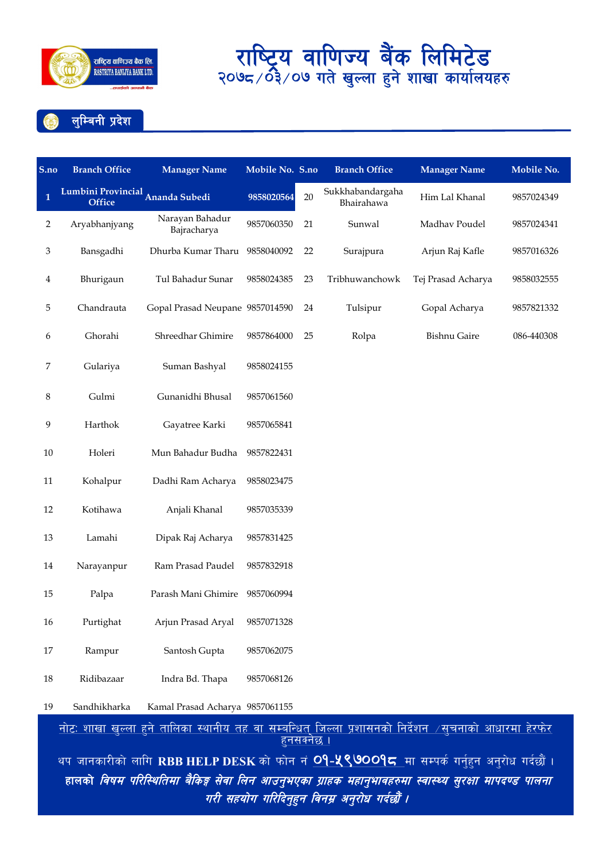



| S.no         | <b>Branch Office</b>                                                                                                                | <b>Manager Name</b>             | Mobile No. S.no |    | <b>Branch Office</b>           | <b>Manager Name</b> | Mobile No. |  |
|--------------|-------------------------------------------------------------------------------------------------------------------------------------|---------------------------------|-----------------|----|--------------------------------|---------------------|------------|--|
| $\mathbf{1}$ | Lumbini Provincial Ananda Subedi<br><b>Office</b>                                                                                   |                                 | 9858020564      | 20 | Sukkhabandargaha<br>Bhairahawa | Him Lal Khanal      | 9857024349 |  |
| 2            | Aryabhanjyang                                                                                                                       | Narayan Bahadur<br>Bajracharya  | 9857060350      | 21 | Sunwal                         | Madhav Poudel       | 9857024341 |  |
| 3            | Bansgadhi                                                                                                                           | Dhurba Kumar Tharu              | 9858040092      | 22 | Surajpura                      | Arjun Raj Kafle     | 9857016326 |  |
| 4            | Bhurigaun                                                                                                                           | Tul Bahadur Sunar               | 9858024385      | 23 | Tribhuwanchowk                 | Tej Prasad Acharya  | 9858032555 |  |
| 5            | Chandrauta                                                                                                                          | Gopal Prasad Neupane 9857014590 |                 | 24 | Tulsipur                       | Gopal Acharya       | 9857821332 |  |
| 6            | Ghorahi                                                                                                                             | Shreedhar Ghimire               | 9857864000      | 25 | Rolpa                          | <b>Bishnu Gaire</b> | 086-440308 |  |
| 7            | Gulariya                                                                                                                            | Suman Bashyal                   | 9858024155      |    |                                |                     |            |  |
| 8            | Gulmi                                                                                                                               | Gunanidhi Bhusal                | 9857061560      |    |                                |                     |            |  |
| 9            | Harthok                                                                                                                             | Gayatree Karki                  | 9857065841      |    |                                |                     |            |  |
| 10           | Holeri                                                                                                                              | Mun Bahadur Budha               | 9857822431      |    |                                |                     |            |  |
| 11           | Kohalpur                                                                                                                            | Dadhi Ram Acharya               | 9858023475      |    |                                |                     |            |  |
| 12           | Kotihawa                                                                                                                            | Anjali Khanal                   | 9857035339      |    |                                |                     |            |  |
| 13           | Lamahi                                                                                                                              | Dipak Raj Acharya               | 9857831425      |    |                                |                     |            |  |
| 14           | Narayanpur                                                                                                                          | Ram Prasad Paudel               | 9857832918      |    |                                |                     |            |  |
| 15           | Palpa                                                                                                                               | Parash Mani Ghimire 9857060994  |                 |    |                                |                     |            |  |
| 16           | Purtighat                                                                                                                           | Arjun Prasad Aryal              | 9857071328      |    |                                |                     |            |  |
| 17           | Rampur                                                                                                                              | Santosh Gupta                   | 9857062075      |    |                                |                     |            |  |
| 18           | Ridibazaar                                                                                                                          | Indra Bd. Thapa                 | 9857068126      |    |                                |                     |            |  |
| 19           | Sandhikharka                                                                                                                        | Kamal Prasad Acharya 9857061155 |                 |    |                                |                     |            |  |
|              | <u>नोटः शाखा खुल्ला हुने तालिका स्थानीय तह वा सम्बन्धित् जिल्ला प्रशासनको निर्देशन  ⁄सुचनाको आधारमा हेरफेर</u><br><u>हनसक्नेछ ।</u> |                                 |                 |    |                                |                     |            |  |
|              | थप जानकारीको लागि RBB HELP DESK को फोन नं <mark>O9-५९७००१८</mark> मा सम्पर्क गर्नुहुन अनुरोध गर्दछौं ।                              |                                 |                 |    |                                |                     |            |  |
|              | हालको <i>विषम परिस्थितिमा बैकिङ्ग सेवा लिन आउनुभएका ग्राहक महानुभावहरुमा स्वास्थ्य सुरक्षा मापदण्ड पालना</i>                        |                                 |                 |    |                                |                     |            |  |

गरी सहयोग गरिदिनुहुन विनम्र अनुरोध गर्दछौं ।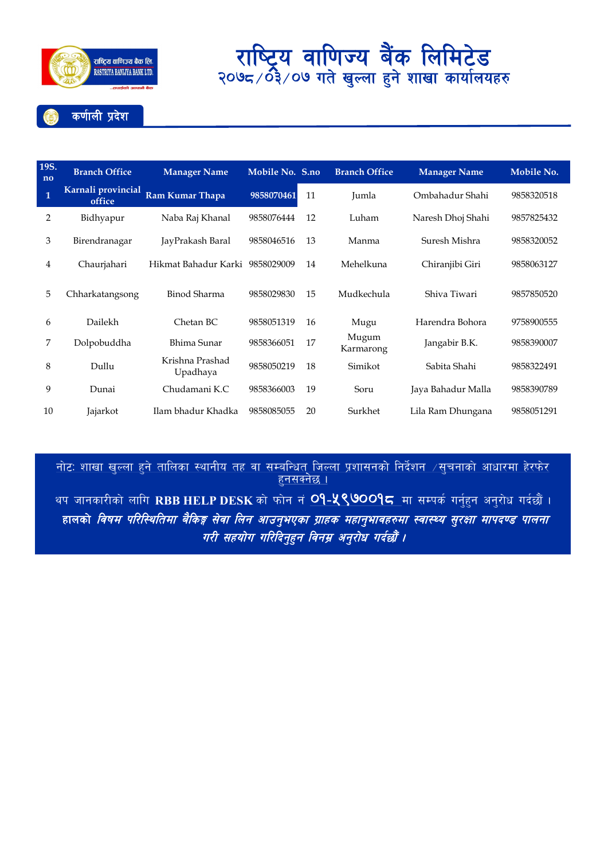

### कर्णाली प्रदेश

| 19S.<br>no   | <b>Branch Office</b>         | <b>Manager Name</b>             | Mobile No. S.no |    | <b>Branch Office</b> | <b>Manager Name</b> | Mobile No. |
|--------------|------------------------------|---------------------------------|-----------------|----|----------------------|---------------------|------------|
| $\mathbf{1}$ | Karnali provincial<br>office | Ram Kumar Thapa                 | 9858070461      | 11 | Jumla                | Ombahadur Shahi     | 9858320518 |
| 2            | Bidhyapur                    | Naba Raj Khanal                 | 9858076444      | 12 | Luham                | Naresh Dhoj Shahi   | 9857825432 |
| 3            | Birendranagar                | JayPrakash Baral                | 9858046516      | 13 | Manma                | Suresh Mishra       | 9858320052 |
| 4            | Chaurjahari                  | Hikmat Bahadur Karki 9858029009 |                 | 14 | Mehelkuna            | Chiranjibi Giri     | 9858063127 |
| 5            | Chharkatangsong              | Binod Sharma                    | 9858029830      | 15 | Mudkechula           | Shiva Tiwari        | 9857850520 |
| 6            | Dailekh                      | Chetan BC                       | 9858051319      | 16 | Mugu                 | Harendra Bohora     | 9758900555 |
| 7            | Dolpobuddha                  | Bhima Sunar                     | 9858366051      | 17 | Mugum<br>Karmarong   | Jangabir B.K.       | 9858390007 |
| 8            | Dullu                        | Krishna Prashad<br>Upadhaya     | 9858050219      | 18 | Simikot              | Sabita Shahi        | 9858322491 |
| 9            | Dunai                        | Chudamani K.C                   | 9858366003      | 19 | Soru                 | Jaya Bahadur Malla  | 9858390789 |
| 10           | Jajarkot                     | Ilam bhadur Khadka              | 9858085055      | 20 | Surkhet              | Lila Ram Dhungana   | 9858051291 |

<u>नोटः शाखा खुल्ला हुने तालिका स्थानीय तह वा सम्बन्धित् जिल्ला प्रशासनको निर्देशन  $\neq$ सुचनाको आधारमा हेरफेर </u>  $5$ नसक्नेछ ।

थप जानकारीको लागि RBB HELP DESK को फोन नं <mark>O9-<mark>५९७</mark>00<mark>9८</mark> मा सम्पर्क गर्नुहुन अनुरोध गर्दछौं ।</mark> हालको *विषम परिस्थितिमा बैकिङ्ग सेवा लिन आउनुभएका ग्राहक महानुभावहरुमा स्वास्थ्य सुरक्षा मापदण्ड पालना* गरी सहयोग गरिदिनुहुन विनम्र अनुरोध गर्दछौं ।